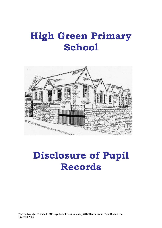# **High Green Primary School**



# **Disclosure of Pupil Records**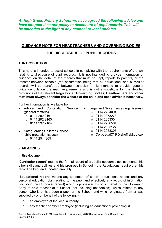*At High Green Primary School we have agreed the following advice and have adopted it as our policy to disclosure of pupil records. This will be amended in the light of any national or local updates.* 

# **GUIDANCE NOTE FOR HEADTEACHERS AND GOVERNING BODIES**

# **THE DISCLOSURE OF PUPIL RECORDS**

## **1. INTRODUCTION**

This note is intended to assist schools in complying with the requirements of the law relating to disclosure of pupil records. It is not intended to provide information or guidance on the detail of the records that must be kept, reports to parents, or the transfer between schools (the assumption being that all educational and curricular records will be transferred between schools). It is intended to provide general guidance only on the main requirements and is not a substitute for the detailed provisions of the relevant Regulations. **Governing Bodies, Headteachers and other staff must always consider the welfare of the child and seek advice if necessary.** 

Further information is available from:

- Advice and Conciliation Service Legal and Governance (legal issues) (general matters)
	- $O$  0114 292 2161
	- $\circ$  0114 292 2163
	- $\circ$  0114 292 2164
- Safeguarding Children Service (child protection issues)
	- $\circ$  0114 2544365
- - $\circ$  0114 2734004
	- $O$  0114 2053273
	- $\circ$  0114 2053304
	- $\circ$  0114 2736564
	- $\circ$  0114 2053127
	- $\circ$  0114 2053305
	- o CorpLegalCYPD.sheffield.gov.uk

# **2. MEANINGS**

In this document:

**'Curricular record'** means the formal record of a pupil's academic achievements, his other skills and abilities and his progress in School – the Regulations require that this record be kept and updated annually.

**'Educational record'** means any statement of special educational needs; and any personal education plan relating to the pupil and effectively any record of information (including the Curricular record) which is processed by or on behalf of the Governing Body of or a teacher at a School (not including academies), which relates to any person who is or has been a pupil of the School, and which originated from or was supplied by or on behalf of the following: -

- a. an employee of the local authority;
- b. any teacher or other employee (including an educational psychologist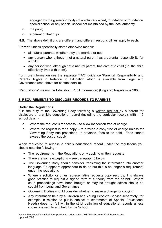engaged by the governing body) of a voluntary aided, foundation or foundation special school or any special school not maintained by the local authority

- c. the pupil;
- d. a parent of that pupil.

**N.B.** The above definitions are different and different responsibilities apply to each.

**'Parent'** unless specifically stated otherwise means: -

- all natural parents, whether they are married or not;
- any person who, although not a natural parent has a parental responsibility for a child;
- any person who, although not a natural parent, has care of a child (i.e. the child effectively lives with them).

For more information see the separate 'FAQ' guidance 'Parental Responsibility and Parents' Rights in Relation to Education which is available from Legal and Governance (see above for contact details).

**'Regulations'** means the Education (Pupil Information) (England) Regulations 2005.

# **3. REQUIREMENTS TO DISCLOSE RECORDS TO PARENTS**

#### **Under the Regulations**

It is the duty of the Governing Body following a written request by a parent for disclosure of a child's educational record (including the curricular record), within 15 school days: -

- a. Where the request is for access to allow inspection free of charge.
- b. Where the request is for a copy to provide a copy free of charge unless the Governing Body has prescribed, in advance, fees to be paid. Fees cannot exceed the cost of supply.

When requested to release a child's educational record under the regulations you should note the following: -

- The requirements in the Regulations only apply to written requests
- There are some exceptions see paragraph 5 below
- The Governing Body should consider translating the information into another language if it appears appropriate to do so but this is no longer a requirement under the regulations
- Where a solicitor or other representative requests copy records, it is always good practice to request a signed form of authority from the parent. Where court proceedings have been brought or may be brought advice should be sought from Legal and Governance.
- Governing Bodies should consider whether to make a charge for copying
- Any information held by a Children and Young People's Service separately (for example in relation to pupils subject to statements of Special Educational Needs) does not fall within the strict definition of educational records unless copies are sent to and held by the School.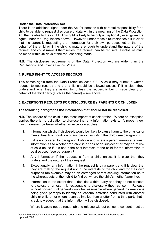#### **Under the Data Protection Act**

There is an additional right under the Act for persons with parental responsibility for a child to be able to request disclosure of data within the meaning of the Data Protection Act that relates to their child. This right is likely to be only exceptionally used given the rights under the Regulations above. However, under these circumstances if it is clear that the parent is requesting the information for their own purposes rather than on behalf of the child or if the child is mature enough to understand the nature of the request and could make it themselves, the request can be refused. Disclosure must be made within 40 days of the request being made.

**N.B.** The disclosure requirements of the Data Protection Act are wider than the Regulations, and cover all records/data.

# **4. PUPILS RIGHT TO ACCESS RECORDS**

This comes again from the Data Protection Act 1998. A child may submit a written request to see records and that child should be allowed access if it is clear they understand what they are asking for unless the request is being made clearly on behalf of the third party (such as the parent) – see above.

## **5. EXCEPTIONS REQUESTS FOR DISCLOSURE BY PARENTS OR CHILDREN**

#### **The following paragraphs list information that should not be disclosed**

**N.B.** The welfare of the child is the most important consideration. Where an exception applies there is no obligation to disclose that any information exists. A proper view must, however, be taken whether an exception applies.

- 1. Information which, if disclosed, would be likely to cause harm to the physical or mental health or condition of any person including the child (see paragraph 6).
- 2. If it is not covered by paragraph 1 above and where a parent makes a request, information as to whether the child is or has been subject of or may be at risk of child abuse if it is not in the best interests of the child for the information to be disclosed (see paragraph 7).
- 3. Any information if the request is from a child unless it is clear that they understand the nature of their request.
- 4. Exceptionally, any information if the request is by a parent and it is clear that they are making the request not in the interests of the child and for their own purposes (an example may be an estranged parent seeking information as to the whereabouts of their child to find out where the child's mother/carer lives).
- 5. Information to the extent that it identifies a third party and they do not consent to disclosure, unless it is reasonable to disclose without consent. Release without consent will generally only be reasonable where general information is being given perhaps to identify educational activities conducted with another child or children or where it can be implied from a letter from a third party that it is acknowledged that the information will be disclosed.

Where it would not be reasonable to release without consent, consent must be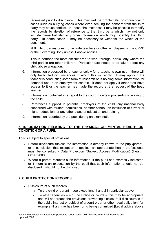requested prior to disclosure. This may well be problematic or impractical in cases such as bullying cases where even seeking the consent from the third party may cause conflict. In these circumstances it may be possible to modify the records by deletion of reference to that third party which may not only include name but also any other information which might identify that third party. In some cases it may be necessary to withhold the whole of the document.

**N.B.** Third parties does not include teachers or other employees of the CYPD or the Governing Body unless 1 above applies.

This is perhaps the most difficult area to work through, particularly where the third parties are other children. Particular care needs to be taken about any child abuse allegation.

- 6. Information processed by a teacher solely for a teacher's own use there will only be limited circumstances in which this will apply. It may apply if the teacher is conducting some form of research or is holding some information for personal use in an employment context. It does not apply if other staff have access to it or the teacher has made the record at the request of the head teacher
- 7. Information contained in a report to the court in certain proceedings relating to the child.
- 8. References supplied to potential employers of the child, any national body concerned with student admissions, another school, an institution of further or higher education, or any other place of education and training
- 9. Information recorded by the pupil during an examination

#### **6. INFORMATION RELATING TO THE PHYSICAL OR MENTAL HEALTH OR CONDITION OF A PUPIL**

This is subject to special provisions.

- Before disclosure (unless the information is already known to the pupil/parent) or a conclusion that exception 1 applies, an appropriate health professional must be consulted - Data Protection (Subject Access Modification) (Health) Order 2000.
- Where a parent requests such information, if the pupil has expressly indicated or if there is an expectation by the pupil that such information should not be disclosed it should not be disclosed.

## **7. CHILD PROTECTION RECORDS**

- Disclosure of such records
	- $\circ$  To the child or parent see exceptions 1 and 2 in particular above
	- $\circ$  To other agencies e.g. the Police or courts this may be appropriate and will not breach the provisions preventing disclosure if disclosure is in the public interest or subject of a court order or other legal obligation, for example, if a crime has been or is being committed [Legal advice above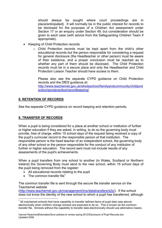should always be sought where court proceedings are in place/anticipated]. It will normally be in the public interest for records to be disclosed for the purposes of a Children Act assessment under Section 17 or an enquiry under Section 49, but consideration should be given to each case (with advice from the Safeguarding Children Team if appropriate).

- Keeping of Child Protection records
	- o Child Protection records must be kept apart from the child's other educational records but the person responsible for considering a request for general disclosure (the Headteacher or other person) must be aware of their existence, and a proper conclusion must be reached as to whether any part of them should be disclosed. The Child Protection records must be in a secure place and only the Headteacher and Child Protection Liaison Teacher should have access to them.

Please also see the separate CYPD guidance on Child Protection records and the DfES guidance at: http://www.teachernet.gov.uk/wholeschool/familyandcommunity/childprot ection/goodpractice/recordkeeping/

# **8. RETENTION OF RECORDS**

See the separate CYPD guidance on record keeping and retention periods.

## **9. TRANSFER OF RECORDS**

When a pupil is being considered for a place at another school or institution of further or higher education if they are asked, in writing, to do so the governing body must provide, free of charge, within 15 school days of the request being received a copy of the pupil's curricular record to the responsible person at that institution. The responsible person is the head teacher of an independent school, the governing body of any other school or the person responsible for the conduct of any institution of further or higher education. The record sent must not include results of any assessments of the pupil's achievements.

When a pupil transfers from one school to another (in Wales, Scotland or Northern Ireland) the Governing Body must send to the new school, within 15 school days of the pupil being removed from the register:

- All educational records relating to the pupil
- The common transfer file<sup>1</sup>

The common transfer file is sent through the secure file transfer service on the Teachernet website

(http://www.teachernet.gov.uk/management/ims/datatransfers/s2s/). If the school does not know the identity of the new school to which a pupil has transferred, although  $\overline{a}$ 

 $1$  All maintained schools that have capability to transfer defined items of pupil data (see above) electronically when children change schools are expected to do so. This is known as the common transfer file. Schools without the capability to transfer data electronically should use alternative means.